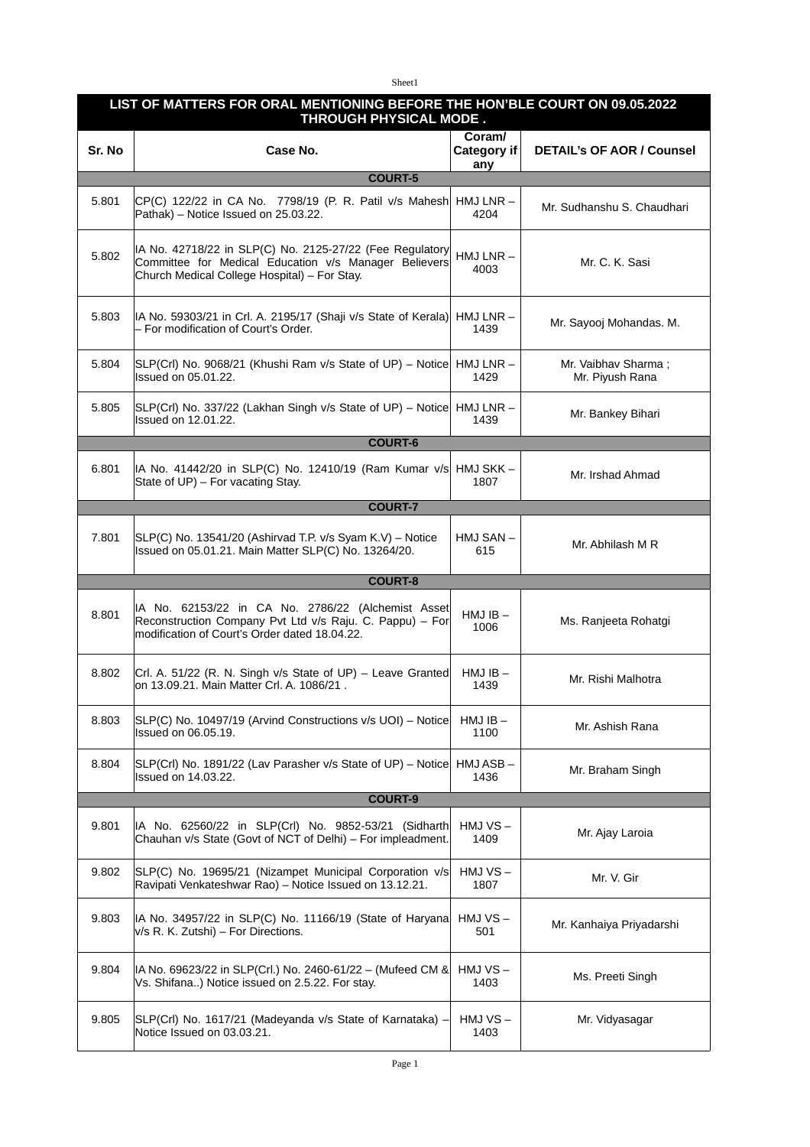Sheet1

| LIST OF MATTERS FOR ORAL MENTIONING BEFORE THE HON'BLE COURT ON 09.05.2022<br>THROUGH PHYSICAL MODE. |                                                                                                                                                                   |                              |                                        |
|------------------------------------------------------------------------------------------------------|-------------------------------------------------------------------------------------------------------------------------------------------------------------------|------------------------------|----------------------------------------|
| Sr. No                                                                                               | Case No.                                                                                                                                                          | Coram/<br>Category if<br>any | <b>DETAIL's OF AOR / Counsel</b>       |
| <b>COURT-5</b>                                                                                       |                                                                                                                                                                   |                              |                                        |
| 5.801                                                                                                | $ CP(C)$ 122/22 in CA No. 7798/19 (P. R. Patil v/s Mahesh<br>Pathak) - Notice Issued on 25.03.22.                                                                 | $HMJ LNR -$<br>4204          | Mr. Sudhanshu S. Chaudhari             |
| 5.802                                                                                                | IA No. 42718/22 in SLP(C) No. 2125-27/22 (Fee Regulatory<br>Committee for Medical Education v/s Manager Believers<br>Church Medical College Hospital) - For Stay. | $HMJ LNR -$<br>4003          | Mr. C. K. Sasi                         |
| 5.803                                                                                                | IA No. 59303/21 in Crl. A. 2195/17 (Shaji v/s State of Kerala)<br>- For modification of Court's Order.                                                            | HMJ LNR –<br>1439            | Mr. Sayooj Mohandas. M.                |
| 5.804                                                                                                | SLP(Crl) No. 9068/21 (Khushi Ram v/s State of UP) – Notice  HMJ LNR –<br>Issued on 05.01.22.                                                                      | 1429                         | Mr. Vaibhay Sharma:<br>Mr. Piyush Rana |
| 5.805                                                                                                | SLP(Crl) No. 337/22 (Lakhan Singh v/s State of UP) - Notice<br>Issued on 12.01.22.                                                                                | HMJ LNR –<br>1439            | Mr. Bankey Bihari                      |
| <b>COURT-6</b>                                                                                       |                                                                                                                                                                   |                              |                                        |
| 6.801                                                                                                | IA No. 41442/20 in SLP(C) No. 12410/19 (Ram Kumar v/s HMJ SKK -<br>State of UP) - For vacating Stay.                                                              | 1807                         | Mr. Irshad Ahmad                       |
| <b>COURT-7</b>                                                                                       |                                                                                                                                                                   |                              |                                        |
| 7.801                                                                                                | SLP(C) No. 13541/20 (Ashirvad T.P. v/s Syam K.V) - Notice<br>Issued on 05.01.21. Main Matter SLP(C) No. 13264/20.                                                 | HMJ SAN-<br>615              | Mr. Abhilash M R                       |
| <b>COURT-8</b>                                                                                       |                                                                                                                                                                   |                              |                                        |
|                                                                                                      |                                                                                                                                                                   |                              |                                        |
| 8.801                                                                                                | IA No. 62153/22 in CA No. 2786/22 (Alchemist Asset<br>Reconstruction Company Pvt Ltd v/s Raju. C. Pappu) - For<br>modification of Court's Order dated 18.04.22.   | $HMJIB -$<br>1006            | Ms. Ranjeeta Rohatgi                   |
| 8.802                                                                                                | Crl. A. 51/22 (R. N. Singh v/s State of UP) – Leave Granted<br>on 13.09.21. Main Matter Crl. A. 1086/21 .                                                         | $HMJIB -$<br>1439            | Mr. Rishi Malhotra                     |
| 8.803                                                                                                | SLP(C) No. 10497/19 (Arvind Constructions v/s UOI) - Notice<br><b>Issued on 06.05.19.</b>                                                                         | $HMJIB -$<br>1100            | Mr. Ashish Rana                        |
| 8.804                                                                                                | SLP(Crl) No. 1891/22 (Lav Parasher v/s State of UP) - Notice<br>Issued on 14.03.22.                                                                               | HMJ ASB-<br>1436             | Mr. Braham Singh                       |
|                                                                                                      | <b>COURT-9</b>                                                                                                                                                    |                              |                                        |
| 9.801                                                                                                | IA No. 62560/22 in SLP(Crl) No. 9852-53/21 (Sidharth<br>Chauhan v/s State (Govt of NCT of Delhi) - For impleadment.                                               | $HMJVS -$<br>1409            | Mr. Ajay Laroia                        |
| 9.802                                                                                                | SLP(C) No. 19695/21 (Nizampet Municipal Corporation v/s<br>Ravipati Venkateshwar Rao) - Notice Issued on 13.12.21.                                                | HMJ VS-<br>1807              | Mr. V. Gir                             |
| 9.803                                                                                                | IA No. 34957/22 in SLP(C) No. 11166/19 (State of Haryana<br>v/s R. K. Zutshi) - For Directions.                                                                   | HMJ VS-<br>501               | Mr. Kanhaiya Priyadarshi               |
| 9.804                                                                                                | IA No. 69623/22 in SLP(Crl.) No. 2460-61/22 - (Mufeed CM &<br>Vs. Shifana) Notice issued on 2.5.22. For stay.                                                     | HMJ VS-<br>1403              | Ms. Preeti Singh                       |